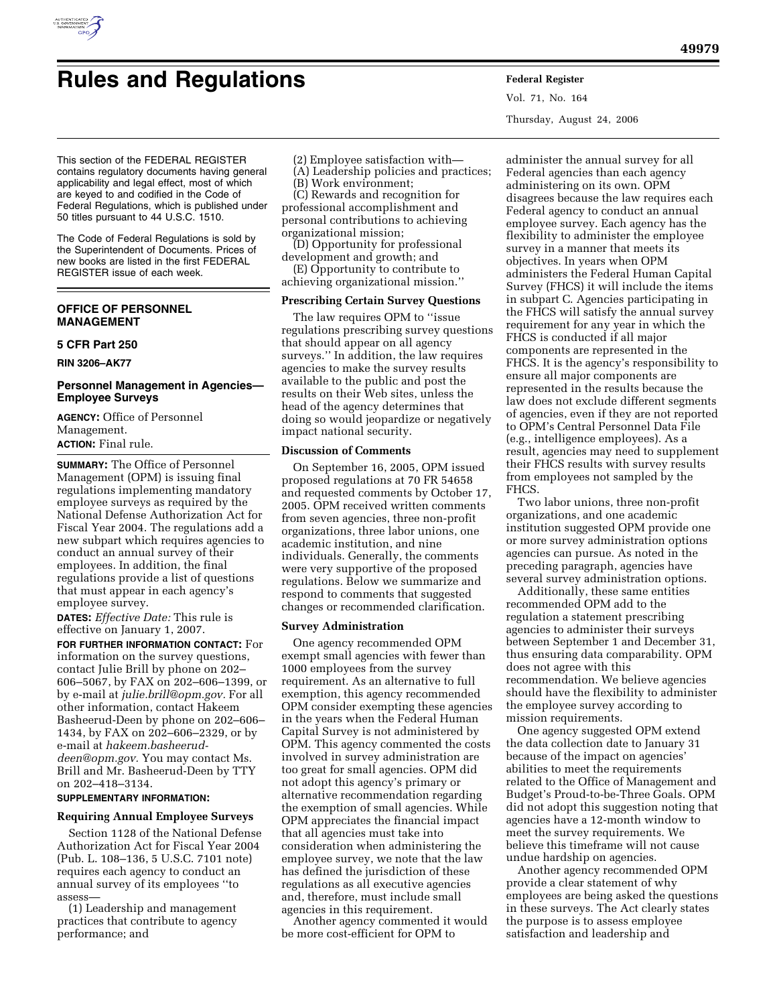

Vol. 71, No. 164 Thursday, August 24, 2006

This section of the FEDERAL REGISTER contains regulatory documents having general applicability and legal effect, most of which are keyed to and codified in the Code of Federal Regulations, which is published under 50 titles pursuant to 44 U.S.C. 1510.

The Code of Federal Regulations is sold by the Superintendent of Documents. Prices of new books are listed in the first FEDERAL REGISTER issue of each week.

# **OFFICE OF PERSONNEL MANAGEMENT**

## **5 CFR Part 250**

**RIN 3206–AK77** 

## **Personnel Management in Agencies— Employee Surveys**

**AGENCY:** Office of Personnel Management. **ACTION:** Final rule.

**SUMMARY:** The Office of Personnel Management (OPM) is issuing final regulations implementing mandatory employee surveys as required by the National Defense Authorization Act for Fiscal Year 2004. The regulations add a new subpart which requires agencies to conduct an annual survey of their employees. In addition, the final regulations provide a list of questions that must appear in each agency's employee survey.

**DATES:** *Effective Date:* This rule is effective on January 1, 2007.

**FOR FURTHER INFORMATION CONTACT:** For information on the survey questions, contact Julie Brill by phone on 202– 606–5067, by FAX on 202–606–1399, or by e-mail at *julie.brill@opm.gov.* For all other information, contact Hakeem Basheerud-Deen by phone on 202–606– 1434, by FAX on 202–606–2329, or by e-mail at *hakeem.basheeruddeen@opm.gov.* You may contact Ms. Brill and Mr. Basheerud-Deen by TTY on 202–418–3134.

# **SUPPLEMENTARY INFORMATION:**

# **Requiring Annual Employee Surveys**

Section 1128 of the National Defense Authorization Act for Fiscal Year 2004 (Pub. L. 108–136, 5 U.S.C. 7101 note) requires each agency to conduct an annual survey of its employees ''to assess—

(1) Leadership and management practices that contribute to agency performance; and

(2) Employee satisfaction with—

(A) Leadership policies and practices; (B) Work environment;

(C) Rewards and recognition for professional accomplishment and personal contributions to achieving organizational mission;

(D) Opportunity for professional development and growth; and

(E) Opportunity to contribute to achieving organizational mission.''

## **Prescribing Certain Survey Questions**

The law requires OPM to ''issue regulations prescribing survey questions that should appear on all agency surveys.'' In addition, the law requires agencies to make the survey results available to the public and post the results on their Web sites, unless the head of the agency determines that doing so would jeopardize or negatively impact national security.

## **Discussion of Comments**

On September 16, 2005, OPM issued proposed regulations at 70 FR 54658 and requested comments by October 17, 2005. OPM received written comments from seven agencies, three non-profit organizations, three labor unions, one academic institution, and nine individuals. Generally, the comments were very supportive of the proposed regulations. Below we summarize and respond to comments that suggested changes or recommended clarification.

### **Survey Administration**

One agency recommended OPM exempt small agencies with fewer than 1000 employees from the survey requirement. As an alternative to full exemption, this agency recommended OPM consider exempting these agencies in the years when the Federal Human Capital Survey is not administered by OPM. This agency commented the costs involved in survey administration are too great for small agencies. OPM did not adopt this agency's primary or alternative recommendation regarding the exemption of small agencies. While OPM appreciates the financial impact that all agencies must take into consideration when administering the employee survey, we note that the law has defined the jurisdiction of these regulations as all executive agencies and, therefore, must include small agencies in this requirement.

Another agency commented it would be more cost-efficient for OPM to

administer the annual survey for all Federal agencies than each agency administering on its own. OPM disagrees because the law requires each Federal agency to conduct an annual employee survey. Each agency has the flexibility to administer the employee survey in a manner that meets its objectives. In years when OPM administers the Federal Human Capital Survey (FHCS) it will include the items in subpart C. Agencies participating in the FHCS will satisfy the annual survey requirement for any year in which the FHCS is conducted if all major components are represented in the FHCS. It is the agency's responsibility to ensure all major components are represented in the results because the law does not exclude different segments of agencies, even if they are not reported to OPM's Central Personnel Data File (e.g., intelligence employees). As a result, agencies may need to supplement their FHCS results with survey results from employees not sampled by the FHCS.

Two labor unions, three non-profit organizations, and one academic institution suggested OPM provide one or more survey administration options agencies can pursue. As noted in the preceding paragraph, agencies have several survey administration options.

Additionally, these same entities recommended OPM add to the regulation a statement prescribing agencies to administer their surveys between September 1 and December 31, thus ensuring data comparability. OPM does not agree with this recommendation. We believe agencies should have the flexibility to administer the employee survey according to mission requirements.

One agency suggested OPM extend the data collection date to January 31 because of the impact on agencies' abilities to meet the requirements related to the Office of Management and Budget's Proud-to-be-Three Goals. OPM did not adopt this suggestion noting that agencies have a 12-month window to meet the survey requirements. We believe this timeframe will not cause undue hardship on agencies.

Another agency recommended OPM provide a clear statement of why employees are being asked the questions in these surveys. The Act clearly states the purpose is to assess employee satisfaction and leadership and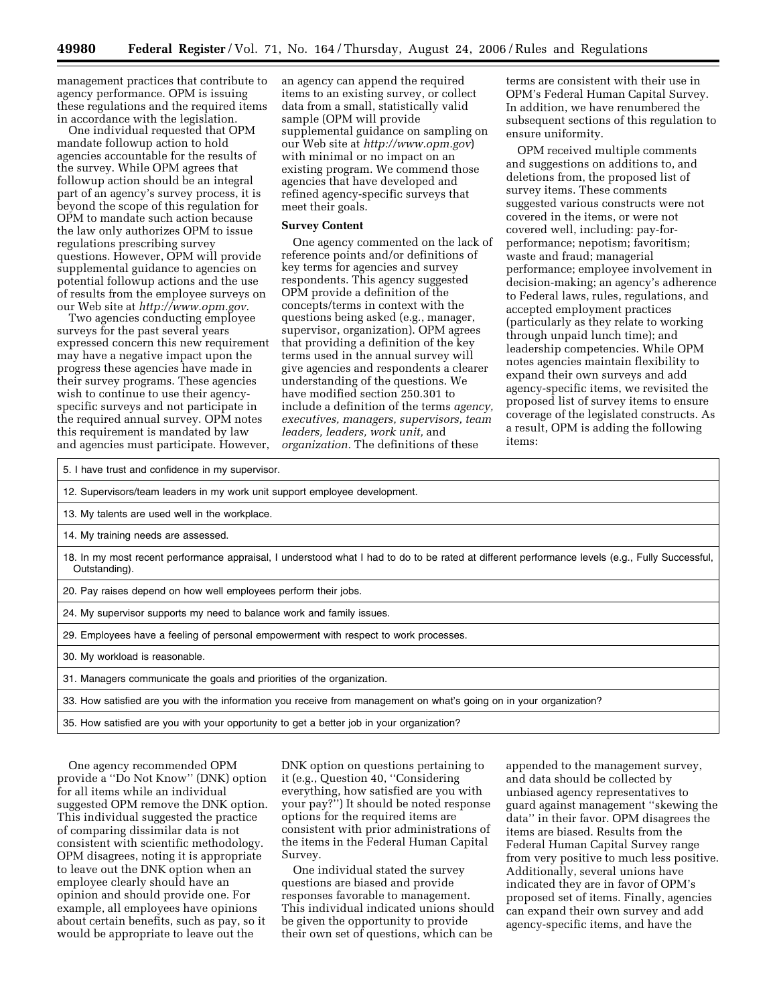management practices that contribute to agency performance. OPM is issuing these regulations and the required items in accordance with the legislation.

One individual requested that OPM mandate followup action to hold agencies accountable for the results of the survey. While OPM agrees that followup action should be an integral part of an agency's survey process, it is beyond the scope of this regulation for OPM to mandate such action because the law only authorizes OPM to issue regulations prescribing survey questions. However, OPM will provide supplemental guidance to agencies on potential followup actions and the use of results from the employee surveys on our Web site at *http://www.opm.gov.* 

Two agencies conducting employee surveys for the past several years expressed concern this new requirement may have a negative impact upon the progress these agencies have made in their survey programs. These agencies wish to continue to use their agencyspecific surveys and not participate in the required annual survey. OPM notes this requirement is mandated by law and agencies must participate. However, an agency can append the required items to an existing survey, or collect data from a small, statistically valid sample (OPM will provide supplemental guidance on sampling on our Web site at *http://www.opm.gov*) with minimal or no impact on an existing program. We commend those agencies that have developed and refined agency-specific surveys that meet their goals.

#### **Survey Content**

One agency commented on the lack of reference points and/or definitions of key terms for agencies and survey respondents. This agency suggested OPM provide a definition of the concepts/terms in context with the questions being asked (e.g., manager, supervisor, organization). OPM agrees that providing a definition of the key terms used in the annual survey will give agencies and respondents a clearer understanding of the questions. We have modified section 250.301 to include a definition of the terms *agency, executives, managers, supervisors, team leaders, leaders, work unit,* and *organization.* The definitions of these

terms are consistent with their use in OPM's Federal Human Capital Survey. In addition, we have renumbered the subsequent sections of this regulation to ensure uniformity.

OPM received multiple comments and suggestions on additions to, and deletions from, the proposed list of survey items. These comments suggested various constructs were not covered in the items, or were not covered well, including: pay-forperformance; nepotism; favoritism; waste and fraud; managerial performance; employee involvement in decision-making; an agency's adherence to Federal laws, rules, regulations, and accepted employment practices (particularly as they relate to working through unpaid lunch time); and leadership competencies. While OPM notes agencies maintain flexibility to expand their own surveys and add agency-specific items, we revisited the proposed list of survey items to ensure coverage of the legislated constructs. As a result, OPM is adding the following items:

5. I have trust and confidence in my supervisor. 12. Supervisors/team leaders in my work unit support employee development. 13. My talents are used well in the workplace. 14. My training needs are assessed. 18. In my most recent performance appraisal, I understood what I had to do to be rated at different performance levels (e.g., Fully Successful, Outstanding). 20. Pay raises depend on how well employees perform their jobs. 24. My supervisor supports my need to balance work and family issues. 29. Employees have a feeling of personal empowerment with respect to work processes. 30. My workload is reasonable. 31. Managers communicate the goals and priorities of the organization. 33. How satisfied are you with the information you receive from management on what's going on in your organization? 35. How satisfied are you with your opportunity to get a better job in your organization?

One agency recommended OPM provide a ''Do Not Know'' (DNK) option for all items while an individual suggested OPM remove the DNK option. This individual suggested the practice of comparing dissimilar data is not consistent with scientific methodology. OPM disagrees, noting it is appropriate to leave out the DNK option when an employee clearly should have an opinion and should provide one. For example, all employees have opinions about certain benefits, such as pay, so it would be appropriate to leave out the

DNK option on questions pertaining to it (e.g., Question 40, ''Considering everything, how satisfied are you with your pay?'') It should be noted response options for the required items are consistent with prior administrations of the items in the Federal Human Capital Survey.

One individual stated the survey questions are biased and provide responses favorable to management. This individual indicated unions should be given the opportunity to provide their own set of questions, which can be

appended to the management survey, and data should be collected by unbiased agency representatives to guard against management ''skewing the data'' in their favor. OPM disagrees the items are biased. Results from the Federal Human Capital Survey range from very positive to much less positive. Additionally, several unions have indicated they are in favor of OPM's proposed set of items. Finally, agencies can expand their own survey and add agency-specific items, and have the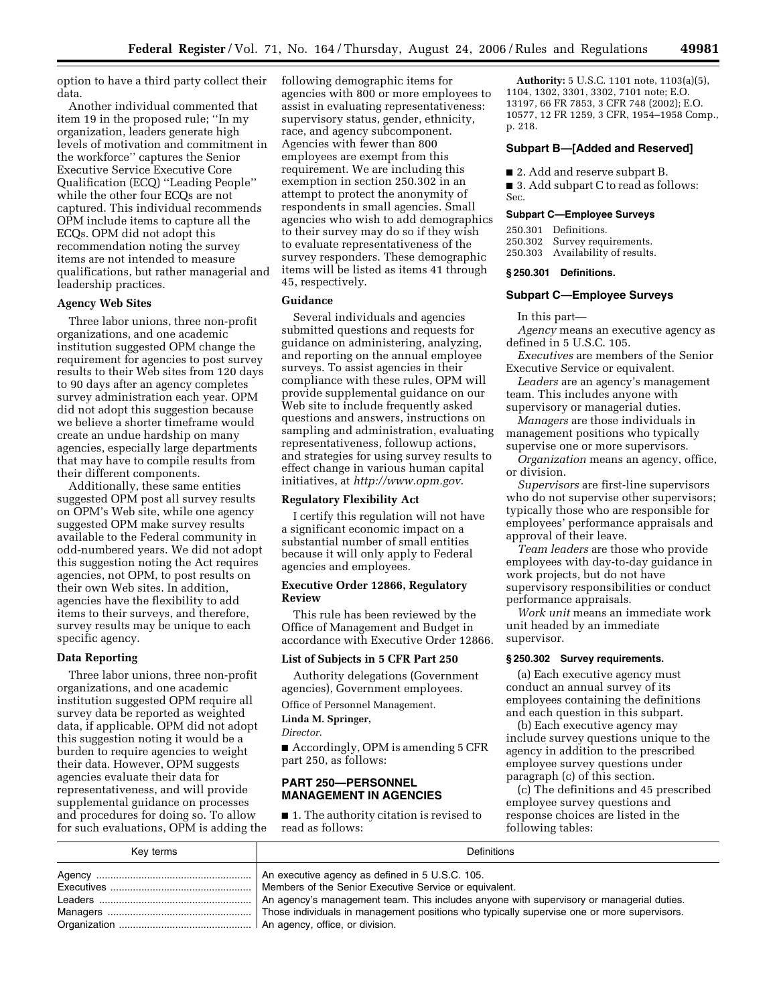option to have a third party collect their data.

Another individual commented that item 19 in the proposed rule; ''In my organization, leaders generate high levels of motivation and commitment in the workforce'' captures the Senior Executive Service Executive Core Qualification (ECQ) ''Leading People'' while the other four ECQs are not captured. This individual recommends OPM include items to capture all the ECQs. OPM did not adopt this recommendation noting the survey items are not intended to measure qualifications, but rather managerial and leadership practices.

#### **Agency Web Sites**

Three labor unions, three non-profit organizations, and one academic institution suggested OPM change the requirement for agencies to post survey results to their Web sites from 120 days to 90 days after an agency completes survey administration each year. OPM did not adopt this suggestion because we believe a shorter timeframe would create an undue hardship on many agencies, especially large departments that may have to compile results from their different components.

Additionally, these same entities suggested OPM post all survey results on OPM's Web site, while one agency suggested OPM make survey results available to the Federal community in odd-numbered years. We did not adopt this suggestion noting the Act requires agencies, not OPM, to post results on their own Web sites. In addition, agencies have the flexibility to add items to their surveys, and therefore, survey results may be unique to each specific agency.

## **Data Reporting**

Three labor unions, three non-profit organizations, and one academic institution suggested OPM require all survey data be reported as weighted data, if applicable. OPM did not adopt this suggestion noting it would be a burden to require agencies to weight their data. However, OPM suggests agencies evaluate their data for representativeness, and will provide supplemental guidance on processes and procedures for doing so. To allow for such evaluations, OPM is adding the

following demographic items for agencies with 800 or more employees to assist in evaluating representativeness: supervisory status, gender, ethnicity, race, and agency subcomponent. Agencies with fewer than 800 employees are exempt from this requirement. We are including this exemption in section 250.302 in an attempt to protect the anonymity of respondents in small agencies. Small agencies who wish to add demographics to their survey may do so if they wish to evaluate representativeness of the survey responders. These demographic items will be listed as items 41 through 45, respectively.

### **Guidance**

Several individuals and agencies submitted questions and requests for guidance on administering, analyzing, and reporting on the annual employee surveys. To assist agencies in their compliance with these rules, OPM will provide supplemental guidance on our Web site to include frequently asked questions and answers, instructions on sampling and administration, evaluating representativeness, followup actions, and strategies for using survey results to effect change in various human capital initiatives, at *http://www.opm.gov*.

## **Regulatory Flexibility Act**

I certify this regulation will not have a significant economic impact on a substantial number of small entities because it will only apply to Federal agencies and employees.

### **Executive Order 12866, Regulatory Review**

This rule has been reviewed by the Office of Management and Budget in accordance with Executive Order 12866.

## **List of Subjects in 5 CFR Part 250**

Authority delegations (Government agencies), Government employees.

Office of Personnel Management.

#### **Linda M. Springer,**

*Director.* 

■ Accordingly, OPM is amending 5 CFR part 250, as follows:

## **PART 250—PERSONNEL MANAGEMENT IN AGENCIES**

■ 1. The authority citation is revised to read as follows:

**Authority:** 5 U.S.C. 1101 note, 1103(a)(5), 1104, 1302, 3301, 3302, 7101 note; E.O. 13197, 66 FR 7853, 3 CFR 748 (2002); E.O. 10577, 12 FR 1259, 3 CFR, 1954–1958 Comp., p. 218.

#### **Subpart B—[Added and Reserved]**

■ 2. Add and reserve subpart B.

■ 3. Add subpart C to read as follows: Sec.

#### **Subpart C—Employee Surveys**

250.301 Definitions. 250.302 Survey requirements. 250.303 Availability of results.

#### **§ 250.301 Definitions.**

### **Subpart C—Employee Surveys**

In this part—

*Agency* means an executive agency as defined in 5 U.S.C. 105.

*Executives* are members of the Senior Executive Service or equivalent.

*Leaders* are an agency's management team. This includes anyone with supervisory or managerial duties.

*Managers* are those individuals in management positions who typically supervise one or more supervisors.

*Organization* means an agency, office, or division.

*Supervisors* are first-line supervisors who do not supervise other supervisors; typically those who are responsible for employees' performance appraisals and approval of their leave.

*Team leaders* are those who provide employees with day-to-day guidance in work projects, but do not have supervisory responsibilities or conduct performance appraisals.

*Work unit* means an immediate work unit headed by an immediate supervisor.

#### **§ 250.302 Survey requirements.**

(a) Each executive agency must conduct an annual survey of its employees containing the definitions and each question in this subpart.

(b) Each executive agency may include survey questions unique to the agency in addition to the prescribed employee survey questions under paragraph (c) of this section.

(c) The definitions and 45 prescribed employee survey questions and response choices are listed in the following tables:

| Kev terms | <b>Definitions</b>                                                                         |
|-----------|--------------------------------------------------------------------------------------------|
|           | An executive agency as defined in 5 U.S.C. 105.                                            |
|           | Members of the Senior Executive Service or equivalent.                                     |
|           | An agency's management team. This includes anyone with supervisory or managerial duties.   |
|           | Those individuals in management positions who typically supervise one or more supervisors. |
|           |                                                                                            |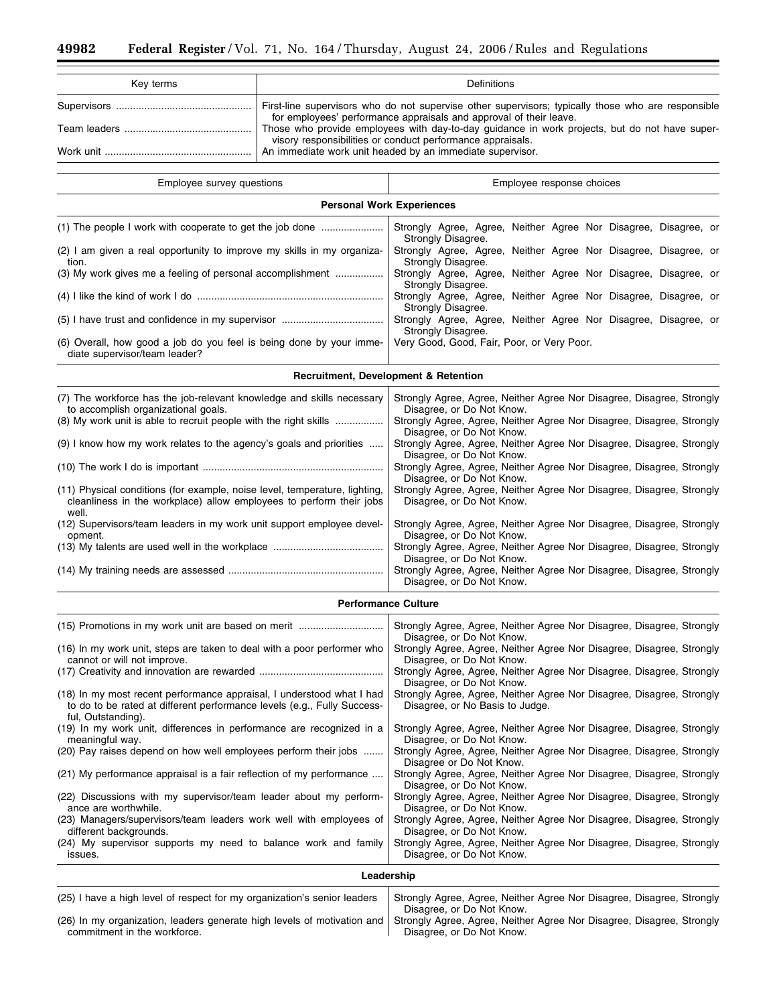۳

| Key terms | Definitions                                                                                                                                                              |
|-----------|--------------------------------------------------------------------------------------------------------------------------------------------------------------------------|
|           | First-line supervisors who do not supervise other supervisors; typically those who are responsible<br>for employees' performance appraisals and approval of their leave. |
|           | Those who provide employees with day-to-day guidance in work projects, but do not have super-<br>visory responsibilities or conduct performance appraisals.              |
| Work unit | An immediate work unit headed by an immediate supervisor.                                                                                                                |

| Employee survey questions                                                                                                                                  | Employee response choices                                                                          |  |  |  |  |
|------------------------------------------------------------------------------------------------------------------------------------------------------------|----------------------------------------------------------------------------------------------------|--|--|--|--|
| <b>Personal Work Experiences</b>                                                                                                                           |                                                                                                    |  |  |  |  |
| (1) The people I work with cooperate to get the job done                                                                                                   | Strongly Agree, Agree, Neither Agree Nor Disagree, Disagree, or<br>Strongly Disagree.              |  |  |  |  |
| (2) I am given a real opportunity to improve my skills in my organiza-<br>tion.                                                                            | Strongly Agree, Agree, Neither Agree Nor Disagree, Disagree, or<br>Strongly Disagree.              |  |  |  |  |
| (3) My work gives me a feeling of personal accomplishment                                                                                                  | Strongly Agree, Agree, Neither Agree Nor Disagree, Disagree, or<br>Strongly Disagree.              |  |  |  |  |
|                                                                                                                                                            | Strongly Agree, Agree, Neither Agree Nor Disagree, Disagree, or<br>Strongly Disagree.              |  |  |  |  |
|                                                                                                                                                            | Strongly Agree, Agree, Neither Agree Nor Disagree, Disagree, or<br>Strongly Disagree.              |  |  |  |  |
| (6) Overall, how good a job do you feel is being done by your imme-<br>diate supervisor/team leader?                                                       | Very Good, Good, Fair, Poor, or Very Poor.                                                         |  |  |  |  |
|                                                                                                                                                            | <b>Recruitment, Development &amp; Retention</b>                                                    |  |  |  |  |
| (7) The workforce has the job-relevant knowledge and skills necessary<br>to accomplish organizational goals.                                               | Strongly Agree, Agree, Neither Agree Nor Disagree, Disagree, Strongly<br>Disagree, or Do Not Know. |  |  |  |  |
| (8) My work unit is able to recruit people with the right skills                                                                                           | Strongly Agree, Agree, Neither Agree Nor Disagree, Disagree, Strongly<br>Disagree, or Do Not Know. |  |  |  |  |
| (9) I know how my work relates to the agency's goals and priorities                                                                                        | Strongly Agree, Agree, Neither Agree Nor Disagree, Disagree, Strongly<br>Disagree, or Do Not Know. |  |  |  |  |
|                                                                                                                                                            | Strongly Agree, Agree, Neither Agree Nor Disagree, Disagree, Strongly<br>Disagree, or Do Not Know. |  |  |  |  |
| (11) Physical conditions (for example, noise level, temperature, lighting,<br>cleanliness in the workplace) allow employees to perform their jobs<br>well. | Strongly Agree, Agree, Neither Agree Nor Disagree, Disagree, Strongly<br>Disagree, or Do Not Know. |  |  |  |  |
| (12) Supervisors/team leaders in my work unit support employee devel-<br>opment.                                                                           | Strongly Agree, Agree, Neither Agree Nor Disagree, Disagree, Strongly<br>Disagree, or Do Not Know. |  |  |  |  |
|                                                                                                                                                            | Strongly Agree, Agree, Neither Agree Nor Disagree, Disagree, Strongly<br>Disagree, or Do Not Know. |  |  |  |  |
|                                                                                                                                                            | Strongly Agree, Agree, Neither Agree Nor Disagree, Disagree, Strongly                              |  |  |  |  |

## **Performance Culture**

Disagree, or Do Not Know.

| (15) Promotions in my work unit are based on merit                                                                                                                     | Strongly Agree, Agree, Neither Agree Nor Disagree, Disagree, Strongly                                                           |  |  |
|------------------------------------------------------------------------------------------------------------------------------------------------------------------------|---------------------------------------------------------------------------------------------------------------------------------|--|--|
| (16) In my work unit, steps are taken to deal with a poor performer who<br>cannot or will not improve.                                                                 | Disagree, or Do Not Know.<br>Strongly Agree, Agree, Neither Agree Nor Disagree, Disagree, Strongly<br>Disagree, or Do Not Know. |  |  |
|                                                                                                                                                                        | Strongly Agree, Agree, Neither Agree Nor Disagree, Disagree, Strongly<br>Disagree, or Do Not Know.                              |  |  |
| (18) In my most recent performance appraisal, I understood what I had<br>to do to be rated at different performance levels (e.g., Fully Success-<br>ful, Outstanding). | Strongly Agree, Agree, Neither Agree Nor Disagree, Disagree, Strongly<br>Disagree, or No Basis to Judge.                        |  |  |
| (19) In my work unit, differences in performance are recognized in a<br>meaningful way.                                                                                | Strongly Agree, Agree, Neither Agree Nor Disagree, Disagree, Strongly<br>Disagree, or Do Not Know.                              |  |  |
| (20) Pay raises depend on how well employees perform their jobs                                                                                                        | Strongly Agree, Agree, Neither Agree Nor Disagree, Disagree, Strongly<br>Disagree or Do Not Know.                               |  |  |
| (21) My performance appraisal is a fair reflection of my performance                                                                                                   | Strongly Agree, Agree, Neither Agree Nor Disagree, Disagree, Strongly<br>Disagree, or Do Not Know.                              |  |  |
| (22) Discussions with my supervisor/team leader about my perform-<br>ance are worthwhile.                                                                              | Strongly Agree, Agree, Neither Agree Nor Disagree, Disagree, Strongly<br>Disagree, or Do Not Know.                              |  |  |
| (23) Managers/supervisors/team leaders work well with employees of<br>different backgrounds.                                                                           | Strongly Agree, Agree, Neither Agree Nor Disagree, Disagree, Strongly<br>Disagree, or Do Not Know.                              |  |  |
| (24) My supervisor supports my need to balance work and family<br>issues.                                                                                              | Strongly Agree, Agree, Neither Agree Nor Disagree, Disagree, Strongly<br>Disagree, or Do Not Know.                              |  |  |
| Leadership                                                                                                                                                             |                                                                                                                                 |  |  |

| (25) I have a high level of respect for my organization's senior leaders                                                                        | Strongly Agree, Agree, Neither Agree Nor Disagree, Disagree, Strongly |
|-------------------------------------------------------------------------------------------------------------------------------------------------|-----------------------------------------------------------------------|
|                                                                                                                                                 | Disagree, or Do Not Know.                                             |
| (26) In my organization, leaders generate high levels of motivation and   Strongly Agree, Agree, Neither Agree Nor Disagree, Disagree, Strongly |                                                                       |
| commitment in the workforce.                                                                                                                    | Disagree, or Do Not Know.                                             |